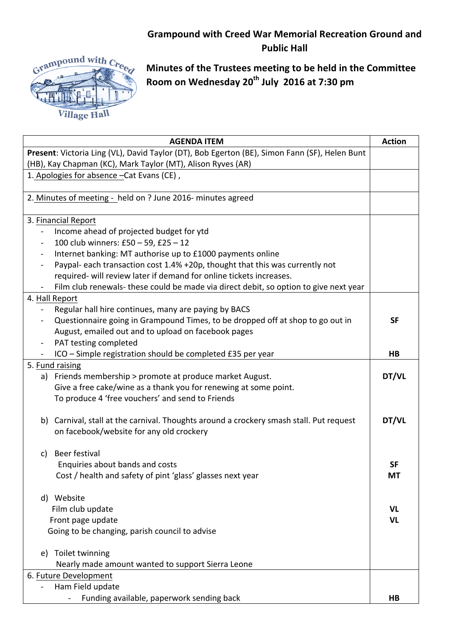## **Grampound with Creed War Memorial Recreation Ground and Public Hall**



**Minutes of the Trustees meeting to be held in the Committee Room on Wednesday 20th July 2016 at 7:30 pm**

| <b>AGENDA ITEM</b>                                                                            | <b>Action</b> |
|-----------------------------------------------------------------------------------------------|---------------|
| Present: Victoria Ling (VL), David Taylor (DT), Bob Egerton (BE), Simon Fann (SF), Helen Bunt |               |
| (HB), Kay Chapman (KC), Mark Taylor (MT), Alison Ryves (AR)                                   |               |
| 1. Apologies for absence - Cat Evans (CE),                                                    |               |
|                                                                                               |               |
| 2. Minutes of meeting - held on ? June 2016- minutes agreed                                   |               |
|                                                                                               |               |
| 3. Financial Report                                                                           |               |
| Income ahead of projected budget for ytd                                                      |               |
| 100 club winners: £50 - 59, £25 - 12<br>$\overline{\phantom{0}}$                              |               |
| Internet banking: MT authorise up to £1000 payments online<br>$\blacksquare$                  |               |
| Paypal- each transaction cost 1.4% +20p, thought that this was currently not                  |               |
| required- will review later if demand for online tickets increases.                           |               |
| Film club renewals- these could be made via direct debit, so option to give next year         |               |
| 4. Hall Report                                                                                |               |
| Regular hall hire continues, many are paying by BACS<br>$\overline{\phantom{0}}$              |               |
| Questionnaire going in Grampound Times, to be dropped off at shop to go out in<br>-           | <b>SF</b>     |
| August, emailed out and to upload on facebook pages                                           |               |
| PAT testing completed<br>-                                                                    |               |
| ICO - Simple registration should be completed £35 per year                                    | HB            |
| 5. Fund raising                                                                               |               |
| a) Friends membership > promote at produce market August.                                     | DT/VL         |
| Give a free cake/wine as a thank you for renewing at some point.                              |               |
| To produce 4 'free vouchers' and send to Friends                                              |               |
|                                                                                               |               |
| Carnival, stall at the carnival. Thoughts around a crockery smash stall. Put request<br>b)    | DT/VL         |
| on facebook/website for any old crockery                                                      |               |
|                                                                                               |               |
| Beer festival<br>C)                                                                           |               |
| Enquiries about bands and costs                                                               | <b>SF</b>     |
| Cost / health and safety of pint 'glass' glasses next year                                    | МT            |
|                                                                                               |               |
| Website<br>d)                                                                                 |               |
| Film club update                                                                              | <b>VL</b>     |
| Front page update                                                                             | <b>VL</b>     |
| Going to be changing, parish council to advise                                                |               |
|                                                                                               |               |
| Toilet twinning<br>e)                                                                         |               |
| Nearly made amount wanted to support Sierra Leone                                             |               |
| 6. Future Development                                                                         |               |
| Ham Field update                                                                              |               |
| Funding available, paperwork sending back                                                     | HB            |